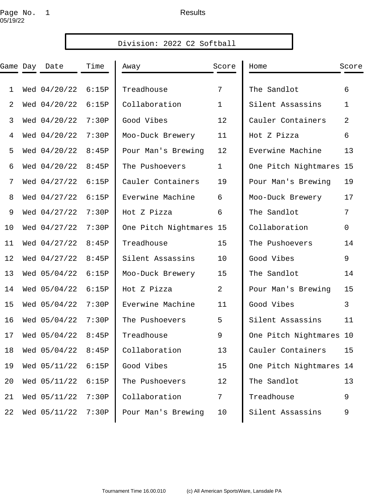# Page No. 1 and the set of the Results 05/19/22

| Division: 2022 C2 Softball |  |              |       |                         |              |                         |             |
|----------------------------|--|--------------|-------|-------------------------|--------------|-------------------------|-------------|
| Game Day                   |  | Date         | Time  | Away                    | Score        | Home                    | Score       |
| $\mathbf{1}$               |  | Wed 04/20/22 | 6:15P | Treadhouse              | 7            | The Sandlot             | 6           |
| $\overline{a}$             |  | Wed 04/20/22 | 6:15P | Collaboration           | $\mathbf{1}$ | Silent Assassins        | 1           |
| 3                          |  | Wed 04/20/22 | 7:30P | Good Vibes              | 12           | Cauler Containers       | 2           |
| 4                          |  | Wed 04/20/22 | 7:30P | Moo-Duck Brewery        | 11           | Hot Z Pizza             | 6           |
| 5                          |  | Wed 04/20/22 | 8:45P | Pour Man's Brewing      | 12           | Everwine Machine        | 13          |
| 6                          |  | Wed 04/20/22 | 8:45P | The Pushoevers          | $\mathbf 1$  | One Pitch Nightmares 15 |             |
| 7                          |  | Wed 04/27/22 | 6:15P | Cauler Containers       | 19           | Pour Man's Brewing      | 19          |
| 8                          |  | Wed 04/27/22 | 6:15P | Everwine Machine        | 6            | Moo-Duck Brewery        | 17          |
| 9                          |  | Wed 04/27/22 | 7:30P | Hot Z Pizza             | 6            | The Sandlot             | 7           |
| 10                         |  | Wed 04/27/22 | 7:30P | One Pitch Nightmares 15 |              | Collaboration           | $\mathbf 0$ |
| 11                         |  | Wed 04/27/22 | 8:45P | Treadhouse              | 15           | The Pushoevers          | 14          |
| 12                         |  | Wed 04/27/22 | 8:45P | Silent Assassins        | 10           | Good Vibes              | 9           |
| 13                         |  | Wed 05/04/22 | 6:15P | Moo-Duck Brewery        | 15           | The Sandlot             | 14          |
| 14                         |  | Wed 05/04/22 | 6:15P | Hot Z Pizza             | 2            | Pour Man's Brewing      | 15          |
| 15                         |  | Wed 05/04/22 | 7:30P | Everwine Machine        | 11           | Good Vibes              | 3           |
| 16                         |  | Wed 05/04/22 | 7:30P | The Pushoevers          | 5            | Silent Assassins        | 11          |
| 17                         |  | Wed 05/04/22 | 8:45P | Treadhouse              | 9            | One Pitch Nightmares 10 |             |
| 18                         |  | Wed 05/04/22 | 8:45P | Collaboration           | 13           | Cauler Containers       | 15          |
| 19                         |  | Wed 05/11/22 | 6:15P | Good Vibes              | 15           | One Pitch Nightmares 14 |             |
| 20                         |  | Wed 05/11/22 | 6:15P | The Pushoevers          | 12           | The Sandlot             | 13          |
| 21                         |  | Wed 05/11/22 | 7:30P | Collaboration           | 7            | Treadhouse              | 9           |
| 22                         |  | Wed 05/11/22 | 7:30P | Pour Man's Brewing      | 10           | Silent Assassins        | 9           |
|                            |  |              |       |                         |              |                         |             |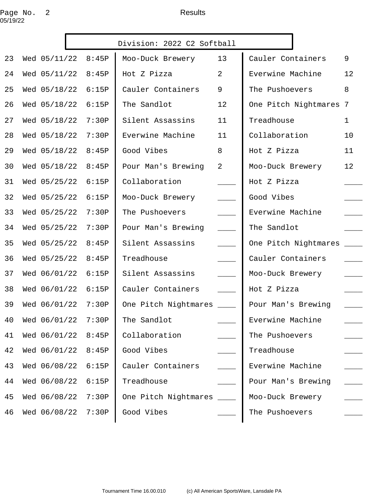# Page No. 2 and 2 Results 05/19/22

| Division: 2022 C2 Softball |  |                       |       |                           |                          |                          |              |
|----------------------------|--|-----------------------|-------|---------------------------|--------------------------|--------------------------|--------------|
| 23                         |  | Wed 05/11/22          | 8:45P | Moo-Duck Brewery          | 13                       | Cauler Containers        | 9            |
| 24                         |  | Wed 05/11/22          | 8:45P | Hot Z Pizza               | $\overline{2}$           | Everwine Machine         | 12           |
| 25                         |  | Wed 05/18/22          | 6:15P | Cauler Containers         | 9                        | The Pushoevers           | 8            |
| 26                         |  | Wed 05/18/22          | 6:15P | The Sandlot               | 12                       | One Pitch Nightmares 7   |              |
| 27                         |  | Wed 05/18/22          | 7:30P | Silent Assassins          | 11                       | Treadhouse               | $\mathbf{1}$ |
| 28                         |  | Wed 05/18/22          | 7:30P | Everwine Machine          | 11                       | Collaboration            | 10           |
| 29                         |  | Wed 05/18/22          | 8:45P | Good Vibes                | 8                        | Hot Z Pizza              | 11           |
| 30                         |  | Wed 05/18/22          | 8:45P | Pour Man's Brewing        | $\overline{a}$           | Moo-Duck Brewery         | 12           |
| 31                         |  | Wed 05/25/22          | 6:15P | Collaboration             |                          | Hot Z Pizza              |              |
| 32                         |  | Wed 05/25/22          | 6:15P | Moo-Duck Brewery          | $\overline{\phantom{a}}$ | Good Vibes               |              |
| 33                         |  | Wed 05/25/22          | 7:30P | The Pushoevers            | $\overline{\phantom{a}}$ | Everwine Machine         |              |
| 34                         |  | Wed 05/25/22          | 7:30P | Pour Man's Brewing        | $\overline{\phantom{a}}$ | The Sandlot              |              |
| 35                         |  | Wed 05/25/22          | 8:45P | Silent Assassins          | $\overline{\phantom{a}}$ | One Pitch Nightmares ___ |              |
| 36                         |  | Wed 05/25/22          | 8:45P | Treadhouse                |                          | Cauler Containers        |              |
| 37                         |  | Wed 06/01/22          | 6:15P | Silent Assassins          | $\frac{1}{2}$            | Moo-Duck Brewery         |              |
| 38                         |  | Wed 06/01/22          | 6:15P | Cauler Containers         |                          | Hot Z Pizza              |              |
| 39                         |  | Wed 06/01/22          | 7:30P | One Pitch Nightmares ____ |                          | Pour Man's Brewing       |              |
|                            |  | 40 Wed 06/01/22 7:30P |       | The Sandlot ___________   |                          | Everwine Machine         |              |
| 41                         |  | Wed 06/01/22          | 8:45P | Collaboration             |                          | The Pushoevers           |              |
| 42                         |  | Wed 06/01/22          | 8:45P | Good Vibes                |                          | Treadhouse               |              |
| 43                         |  | Wed 06/08/22          | 6:15P | Cauler Containers         |                          | Everwine Machine         |              |
| 44                         |  | Wed 06/08/22          | 6:15P | Treadhouse                |                          | Pour Man's Brewing       |              |
| 45                         |  | Wed 06/08/22          | 7:30P | One Pitch Nightmares      |                          | Moo-Duck Brewery         |              |
| 46                         |  | Wed 06/08/22          | 7:30P | Good Vibes                |                          | The Pushoevers           |              |
|                            |  |                       |       |                           |                          |                          |              |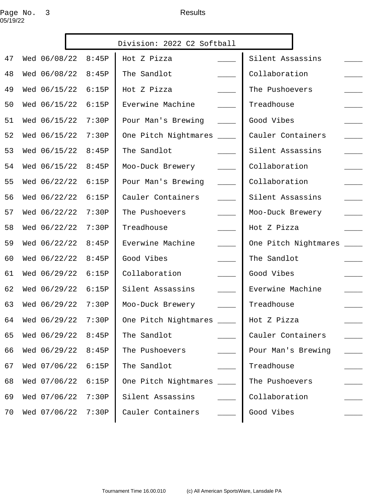# Page No. 3 and the set of the Results 05/19/22

| Division: 2022 C2 Softball |                       |       |                           |                            |                                |
|----------------------------|-----------------------|-------|---------------------------|----------------------------|--------------------------------|
| 47                         | Wed 06/08/22          | 8:45P | Hot Z Pizza               |                            | Silent Assassins               |
| 48                         | Wed 06/08/22          | 8:45P | The Sandlot               |                            | Collaboration                  |
| 49                         | Wed 06/15/22          | 6:15P | Hot Z Pizza               |                            | The Pushoevers                 |
| 50                         | Wed 06/15/22          | 6:15P | Everwine Machine          |                            | Treadhouse                     |
| 51                         | Wed 06/15/22          | 7:30P | Pour Man's Brewing        | $\sim$ $\sim$              | Good Vibes                     |
| 52                         | Wed 06/15/22          | 7:30P | One Pitch Nightmares      | $\frac{1}{2}$              | Cauler Containers              |
| 53                         | Wed 06/15/22          | 8:45P | The Sandlot               |                            | Silent Assassins               |
| 54                         | Wed 06/15/22          | 8:45P | Moo-Duck Brewery          | $\frac{1}{2}$              | Collaboration                  |
| 55                         | Wed 06/22/22          | 6:15P | Pour Man's Brewing        | $\overline{\phantom{a}}$   | Collaboration                  |
| 56                         | Wed 06/22/22          | 6:15P | Cauler Containers         | $\sim$ 100 $\mu$           | Silent Assassins               |
| 57                         | Wed 06/22/22          | 7:30P | The Pushoevers            | $\overline{\phantom{a}}$   | Moo-Duck Brewery               |
| 58                         | Wed 06/22/22          | 7:30P | Treadhouse                | $\overline{\phantom{a}}$   | Hot Z Pizza                    |
| 59                         | Wed 06/22/22          | 8:45P | Everwine Machine          | $\overline{\phantom{a}}$   | One Pitch Nightmares<br>$\sim$ |
| 60                         | Wed 06/22/22          | 8:45P | Good Vibes                |                            | The Sandlot                    |
| 61                         | Wed 06/29/22          | 6:15P | Collaboration             | $\overline{\phantom{a}}$   | Good Vibes                     |
| 62                         | Wed 06/29/22          | 6:15P | Silent Assassins          | $\mathcal{L}^{\text{max}}$ | Everwine Machine               |
| 63                         | Wed 06/29/22          | 7:30P | Moo-Duck Brewery          |                            | Treadhouse                     |
|                            | 64 Wed 06/29/22 7:30P |       | One Pitch Nightmares ____ |                            | Hot Z Pizza                    |
| 65                         | Wed 06/29/22          | 8:45P | The Sandlot               |                            | Cauler Containers              |
| 66                         | Wed 06/29/22          | 8:45P | The Pushoevers            |                            | Pour Man's Brewing             |
| 67                         | Wed 07/06/22          | 6:15P | The Sandlot               |                            | Treadhouse                     |
| 68                         | Wed 07/06/22          | 6:15P | One Pitch Nightmares      |                            | The Pushoevers                 |
| 69                         | Wed 07/06/22          | 7:30P | Silent Assassins          |                            | Collaboration                  |
| 70                         | Wed 07/06/22          | 7:30P | Cauler Containers         |                            | Good Vibes                     |
|                            |                       |       |                           |                            |                                |